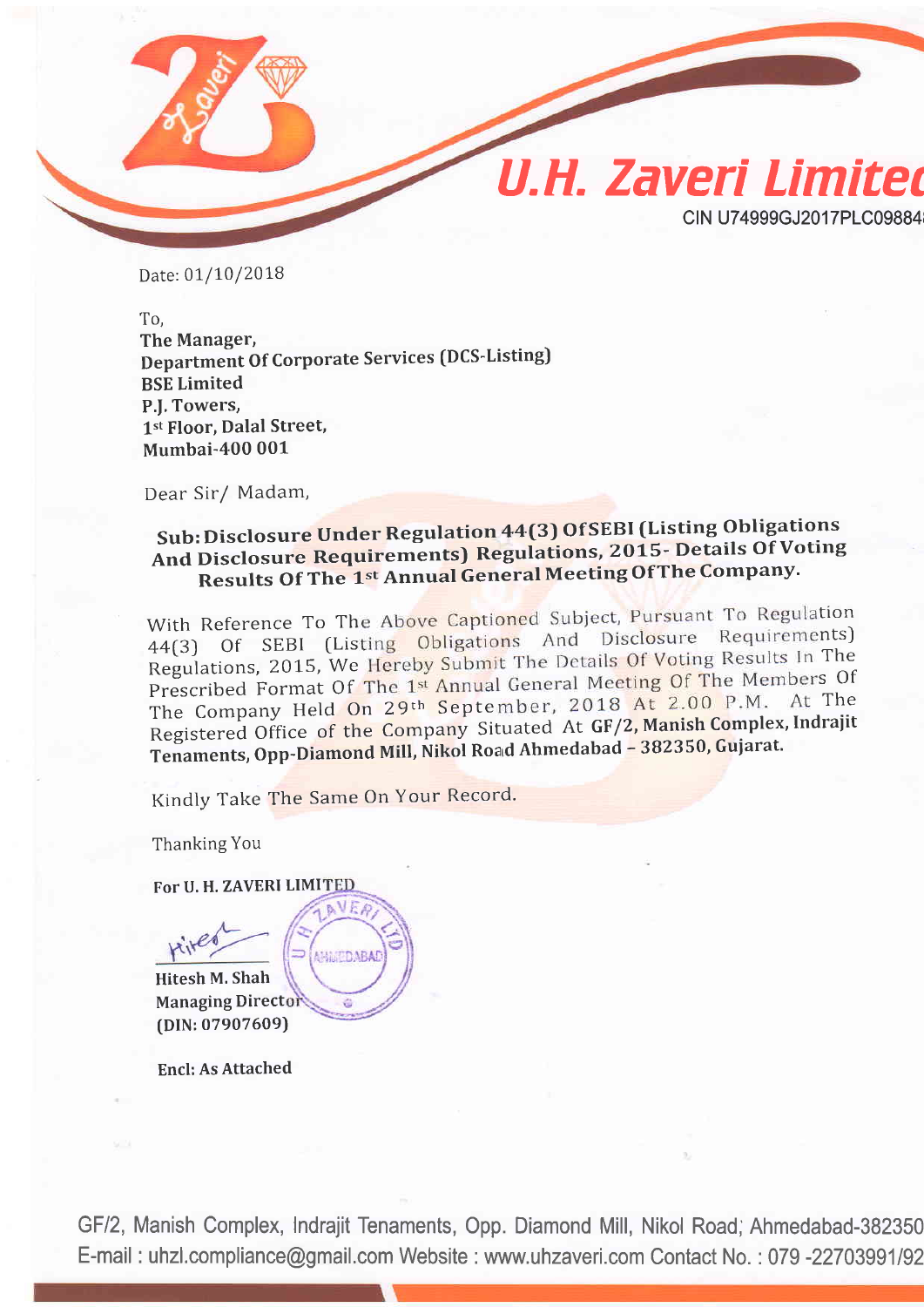

Date: 01/10/2018

To, The Manager, Department Of Corporate Services (DCS-Listing) BSE Limited P.I. Towers, 1st Floor, Dalal Street, Mumbai-40O 001

Dear Sir/ Madam,

## Sub: Disclosure Under Regulation 44(3) Of SEBI (Listing Obligations And Disclosure Requirements) Regulations, 2015- Details Of Voting Results Of The 1st Annual General Meeting Of The Company.

With Reference To The Above Captioned Subject, Pursuant To Regulation 44(3) Of SEBI (Listing Obligations And Disclosure Requirements) Regulations, 2015, We Hereby Submit The Details Of Voting Results In The Prescribed Format Of The 1st Annual General Meeting Of The Members Of The Company Held On 29<sup>th</sup> September, 2018 At 2.00 P.M. At The The Company Held On 29th September, 2018 At 2.00 P.M. At The<br>Registered Office of the Company Situated At GF/2, Manish Complex, Indrajit Tenaments, Opp-Diamond Mill, Nikol Road Ahmedabad - 382350, Gujarat.

Kindly Take The Same On Your Record.

Thanking You

FoT U. H. ZAVERI LIMI

VEA **AMMUDABAI** Hitesh M, Shah **Managing Director** [DlN:07907609)

Encl: As Attached

GF12, Manish Complex, Indrajit Tenaments, Opp. Diamond Mill, Nikol Road; Ahmedabad-382350 E-mail: uhzl.compliance@gmail.com Website: www.uhzaveri.com Contact No.: 079 -22703991/92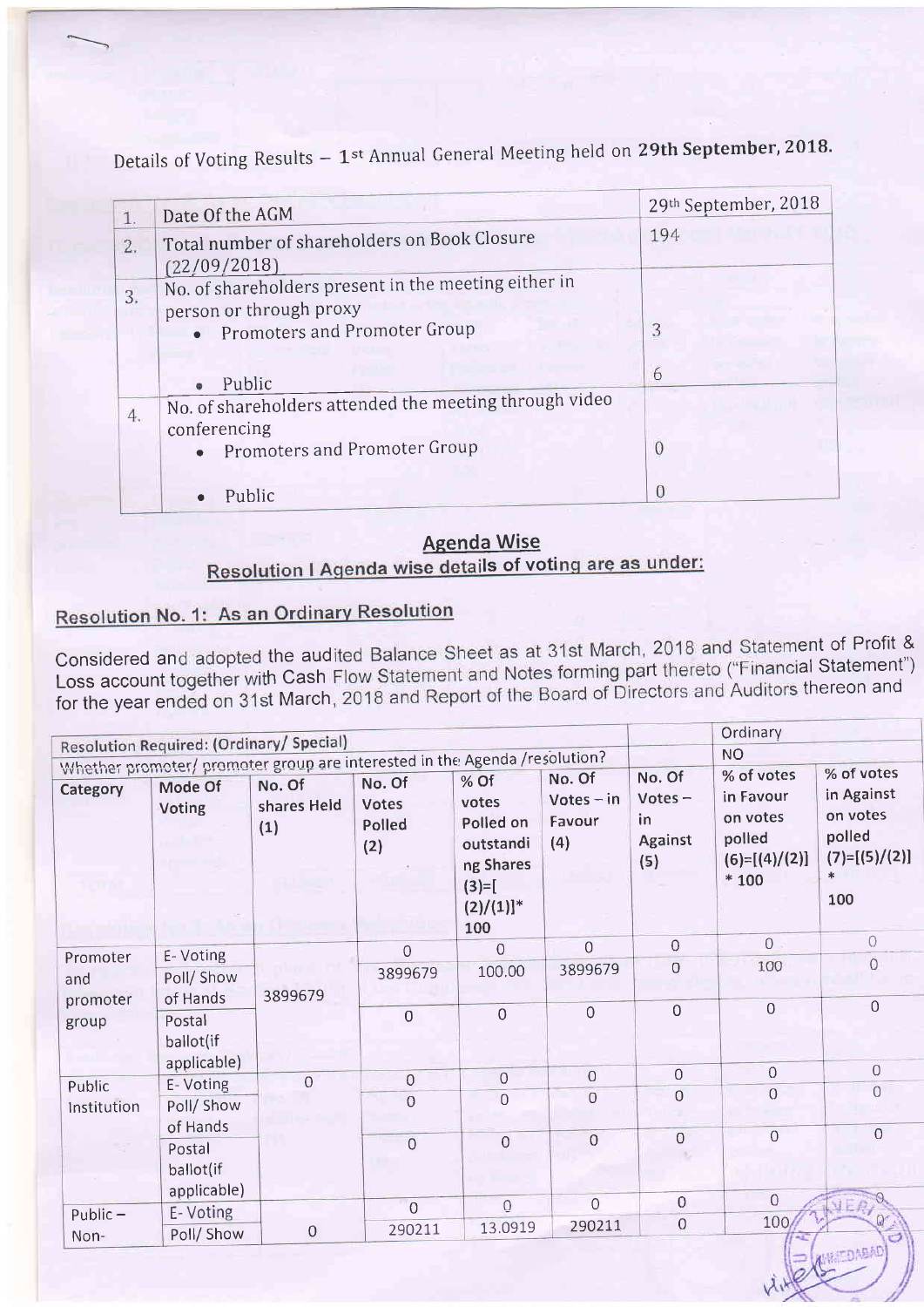|                  | Date Of the AGM                                                                                                   | 29th September, 2018 |
|------------------|-------------------------------------------------------------------------------------------------------------------|----------------------|
| 1.<br>2.         | Total number of shareholders on Book Closure<br>(22/09/2018)                                                      | 194                  |
| $\overline{3}$ . | No. of shareholders present in the meeting either in<br>person or through proxy<br>• Promoters and Promoter Group | 3                    |
|                  | Public                                                                                                            | 6                    |
| 4.               | No. of shareholders attended the meeting through video<br>conferencing<br>• Promoters and Promoter Group          | $\Omega$             |
|                  | Public                                                                                                            |                      |

Details of Voting Results  $-1$ <sup>st</sup> Annual General Meeting held on 29th September, 2018.

#### ls of voti <u>Agenda Wise</u>

# **Resolution No. 1: As an Ordinary Resolution**

Considered and adopted the audited Balance Sheet as at 31st March, 2018 and Statement of Profit & Considered and adopted the audited Balance Sheet as at 51st March, 2010 2016<br>Loss account together with Cash Flow Statement and Notes forming part thereto ("Financial Statement") Loss account together with Cash Flow Statement and Notes forming part ansiets (indicitors thereon and<br>for the year ended on 31st March, 2018 and Report of the Board of Directors and Auditors thereon and

|                       |                                          |                                                                                                            |                                  |                                                                                                    |                                         |                                              | Ordinary                                                                   |                                                                                    |
|-----------------------|------------------------------------------|------------------------------------------------------------------------------------------------------------|----------------------------------|----------------------------------------------------------------------------------------------------|-----------------------------------------|----------------------------------------------|----------------------------------------------------------------------------|------------------------------------------------------------------------------------|
|                       | Resolution Required: (Ordinary/ Special) |                                                                                                            |                                  |                                                                                                    |                                         |                                              | <b>NO</b>                                                                  |                                                                                    |
| Category              | Mode Of<br>Voting                        | Whether promoter/ promoter group are interested in the Agenda /resolution?<br>No. Of<br>shares Held<br>(1) | No. Of<br>Votes<br>Polled<br>(2) | % Of<br>votes<br>Polled on<br>outstandi<br>ng Shares<br>$(3)=$ [<br>$(2)/(1)]$ <sup>*</sup><br>100 | No. Of<br>$Votes - in$<br>Favour<br>(4) | No. Of<br>Votes $-$<br>in.<br>Against<br>(5) | % of votes<br>in Favour<br>on votes<br>polled<br>$(6)=[(4)/(2)]$<br>$*100$ | % of votes<br>in Against<br>on votes<br>polled<br>$(7)=[(5)/(2)]$<br>$\ast$<br>100 |
| Promoter              | E-Voting                                 |                                                                                                            | $\overline{0}$                   | $\overline{0}$                                                                                     | $\mathsf O$                             | $\Omega$                                     | $\Omega$                                                                   | $\Omega$                                                                           |
| and<br>promoter       | Poll/Show<br>of Hands                    | 3899679                                                                                                    | 3899679                          | 100.00                                                                                             | 3899679                                 | $\overline{O}$                               | 100                                                                        | $\overline{0}$                                                                     |
| group                 | Postal<br>ballot(if                      |                                                                                                            | $\mathsf{O}\xspace$              | $\overline{O}$                                                                                     | $\overline{0}$                          | $\overline{0}$                               | $\mathbf{0}$                                                               | $\Omega$                                                                           |
|                       | applicable)                              | $\mathbf 0$                                                                                                | $\overline{0}$                   | $\overline{0}$                                                                                     | $\mathbf 0$                             | $\overline{0}$                               | $\overline{0}$                                                             | $\Omega$                                                                           |
| Public<br>Institution | E-Voting<br>Poll/ Show                   |                                                                                                            | $\overline{0}$                   | $\overline{0}$                                                                                     | $\overline{O}$                          | 0                                            | $\Omega$                                                                   | $\Omega$                                                                           |
|                       | of Hands<br>Postal<br>ballot(if          |                                                                                                            | $\overline{0}$                   | $\overline{O}$                                                                                     | $\overline{0}$                          | $\overline{0}$                               | $\mathbf 0$                                                                | $\overline{O}$                                                                     |
|                       | applicable)                              |                                                                                                            | $\overline{0}$                   | $\overline{0}$                                                                                     | $\overline{0}$                          | $\mathsf{O}\xspace$                          | $\overline{0}$                                                             |                                                                                    |
| Public $-$<br>Non-    | E-Voting<br>Poll/ Show                   | $\mathbf 0$                                                                                                | 290211                           | 13.0919                                                                                            | 290211                                  | $\mathbf 0$                                  | 100                                                                        | $7555 - 10$                                                                        |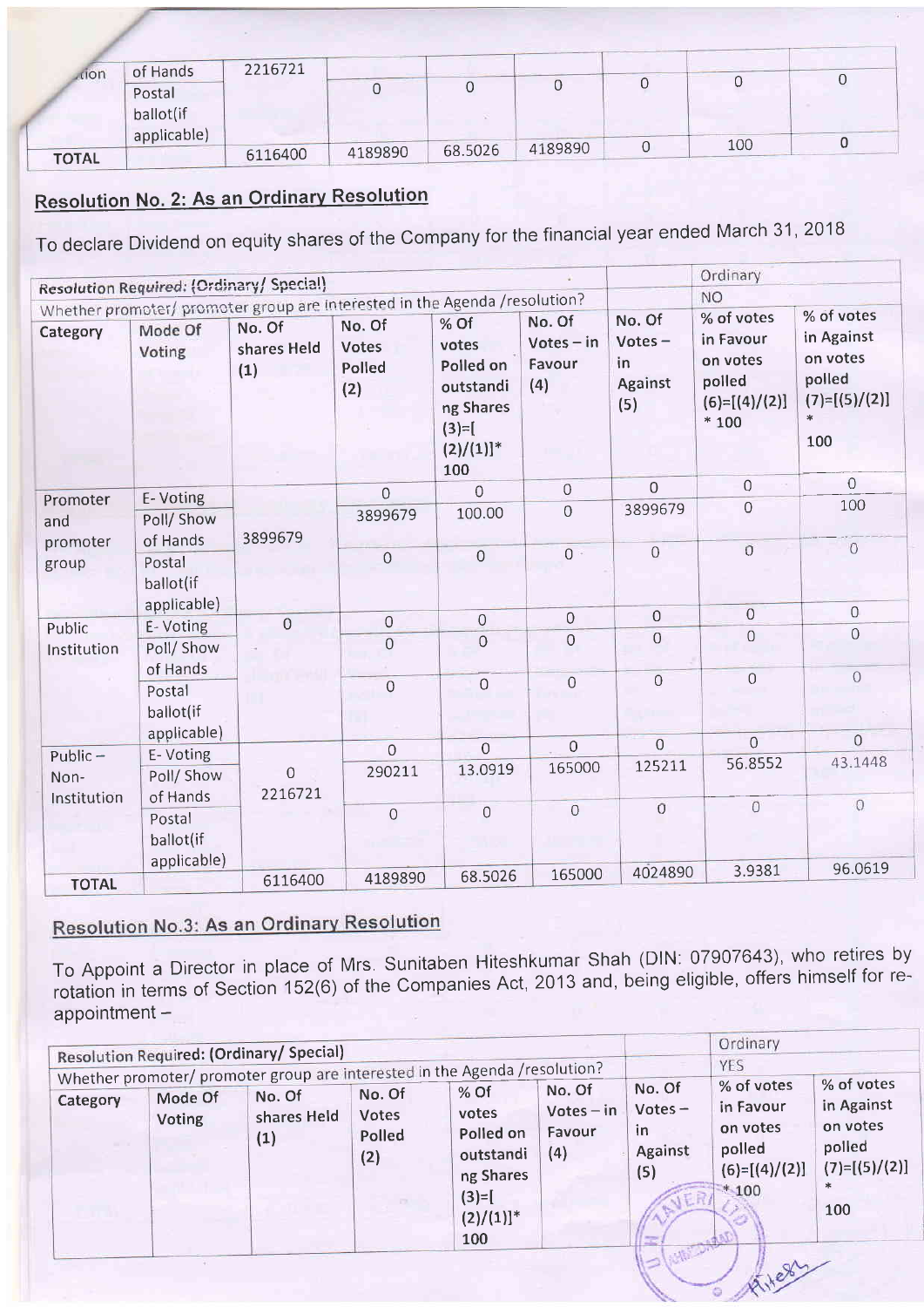| <b>r</b> tion | of Hands                           | 2216721 |         |         |         |     |   |
|---------------|------------------------------------|---------|---------|---------|---------|-----|---|
|               | Postal<br>ballot(if<br>applicable) |         |         |         |         |     | ◡ |
|               |                                    | 6116400 | 4189890 | 68.5026 | 4189890 | 100 |   |

## Resolution No. 2: As an Ordinarv Resolution

To declare Dividend on equity shares of the Company for the financial year ended March 31, 2018

|                       | <b>Resolution Required: (Ordinary/ Special)</b>                            |                              |                                  |                                                                                                    |                                         |                                             | Ordinary                                                                   |                                                                                    |
|-----------------------|----------------------------------------------------------------------------|------------------------------|----------------------------------|----------------------------------------------------------------------------------------------------|-----------------------------------------|---------------------------------------------|----------------------------------------------------------------------------|------------------------------------------------------------------------------------|
|                       | Whether promoter/ promoter group are interested in the Agenda /resolution? |                              |                                  |                                                                                                    |                                         |                                             | <b>NO</b>                                                                  |                                                                                    |
| Category              | Mode Of<br>Voting                                                          | No. Of<br>shares Held<br>(1) | No. Of<br>Votes<br>Polled<br>(2) | % Of<br>votes<br>Polled on<br>outstandi<br>ng Shares<br>$(3)=$ [<br>$(2)/(1)]$ <sup>*</sup><br>100 | No. Of<br>$Votes - in$<br>Favour<br>(4) | No. Of<br>$Votes -$<br>in<br>Against<br>(5) | % of votes<br>in Favour<br>on votes<br>polled<br>$(6)=[(4)/(2)]$<br>$*100$ | % of votes<br>in Against<br>on votes<br>polled<br>$(7)=[(5)/(2)]$<br>$\ast$<br>100 |
| Promoter              | E-Voting                                                                   |                              | $\Omega$                         | $\overline{0}$                                                                                     | $\overline{0}$                          | $\Omega$                                    | $\Omega$                                                                   | $\overline{0}$                                                                     |
| and                   | Poll/ Show<br>of Hands                                                     | 3899679                      | 3899679                          | 100.00                                                                                             | $\overline{O}$                          | 3899679                                     | $\overline{0}$                                                             | 100                                                                                |
| promoter<br>group     | Postal<br>ballot(if                                                        |                              | 0                                | $\mathbf 0$                                                                                        | $0 -$                                   | $\Omega$                                    | $\overline{0}$                                                             | $\circ$                                                                            |
|                       | applicable)                                                                | $\overline{0}$               | $\overline{0}$                   | $\mathsf{O}\xspace$                                                                                | $\mathbf 0$                             | $\overline{0}$                              | $\overline{0}$                                                             | $\circ$                                                                            |
| Public<br>Institution | E-Voting<br>Poll/ Show                                                     |                              | $\mathbb O$                      | $\mathbf 0$                                                                                        | $\mathbf 0$                             | $\overline{0}$                              | $\Omega$                                                                   | $\rm{O}$                                                                           |
|                       | of Hands<br>Postal<br>ballot(if                                            |                              | $\mathbf 0$                      | $\overline{0}$                                                                                     | $\overline{0}$                          | $\overline{0}$                              | $\mathbf 0$                                                                | $\bigcirc$                                                                         |
|                       | applicable)<br>E-Voting                                                    |                              | $\overline{0}$                   | $\overline{O}$                                                                                     | $\overline{0}$                          | $\overline{0}$                              | $\overline{0}$                                                             | $\overline{0}$                                                                     |
| $Public -$<br>Non-    | Poll/Show<br>of Hands                                                      | $\Omega$<br>2216721          | 290211                           | 13.0919                                                                                            | 165000                                  | 125211                                      | 56.8552                                                                    | 43.1448                                                                            |
| Institution           | Postal<br>ballot(if<br>applicable)                                         |                              | $\mathbf 0$                      | $\overline{0}$                                                                                     | $\overline{O}$                          | $\overline{O}$                              | $\overline{0}$                                                             | $\overline{0}$                                                                     |
| <b>TOTAL</b>          |                                                                            | 6116400                      | 4189890                          | 68.5026                                                                                            | 165000                                  | 4024890                                     | 3.9381                                                                     | 96.0619                                                                            |

# **Resolution No.3: As an Ordinary Resolution**

To Appoint a Director in Place of rotation in terms of Section 152(6) appointment - Mrs. Sunitaben Hiteshkumar of the Companies Act, 2013 Shah (DlN: 07907643), who retires and, being eligible, offers himself for by re-

|               | <b>Resolution Required: (Ordinary/ Special)</b> |                        |                                                                                 |                               |                                                                                      | Ordinary<br>YES<br>% of votes                                | % of votes                                                        |
|---------------|-------------------------------------------------|------------------------|---------------------------------------------------------------------------------|-------------------------------|--------------------------------------------------------------------------------------|--------------------------------------------------------------|-------------------------------------------------------------------|
| <b>Voting</b> | shares Held<br>(1)                              | Votes<br>Polled<br>(2) | votes<br>Polled on<br>outstandi<br>ng Shares<br>$(3)=$ [<br>$(2)/(1)]^*$<br>100 | $Votes - in$<br>Favour<br>(4) | $Votes -$<br>in<br>Against<br>(5)<br>宝                                               | in Favour<br>on votes<br>polled<br>$(6)=[(4)/(2)]$<br>$*100$ | in Against<br>on votes<br>polled<br>$(7)=[(5)/(2)]$<br>$*$<br>100 |
|               | Mode Of                                         | No. Of                 | No. Of                                                                          | $%$ Of                        | Whether promoter/ promoter group are interested in the Agenda /resolution?<br>No. Of | No. Of                                                       |                                                                   |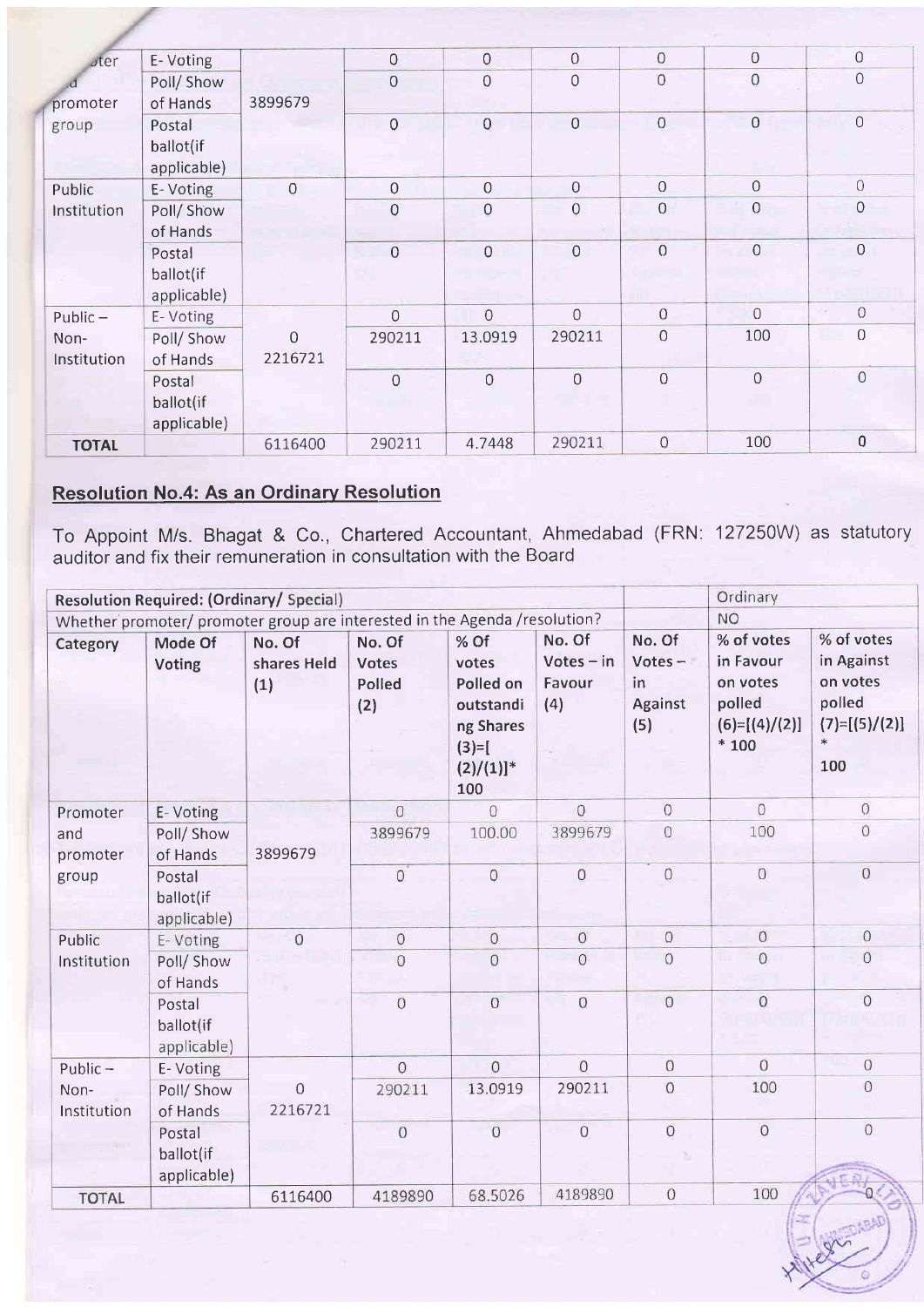| $\sqrt{5}$   | E-Voting    |                | 0              | $\overline{0}$ | $\overline{0}$ | $\mathbf 0$    | $\overline{0}$ | $\Omega$      |
|--------------|-------------|----------------|----------------|----------------|----------------|----------------|----------------|---------------|
|              | Poll/Show   |                | $\overline{0}$ | $\overline{O}$ | $\circ$        | $\overline{0}$ | 0              | $\Omega$      |
| promoter     | of Hands    | 3899679        |                |                |                |                |                |               |
| group        | Postal      |                | $\mathsf{Q}$   | $\mathbf 0$    | $\overline{0}$ | $\mathbf 0$    | $\mathbf 0$    | $\,0\,$       |
|              | ballot(if   |                |                |                |                |                |                |               |
|              | applicable) |                |                |                |                |                |                |               |
| Public       | E-Voting    | $\overline{0}$ | $\overline{0}$ | 0              | $\overline{O}$ | $\Omega$       | $\Omega$       | $\mathbf 0$   |
| Institution  | Poll/ Show  |                | $\circ$        | $\overline{0}$ | $\overline{0}$ | $\overline{0}$ | $\overline{0}$ | $\mathcal{O}$ |
|              | of Hands    |                |                |                |                |                |                |               |
|              | Postal      |                | $\overline{0}$ | $\overline{0}$ | $\overline{0}$ | $\overline{0}$ | $\overline{0}$ | $\mathsf O$   |
|              | ballot(if   |                |                |                |                |                |                |               |
|              | applicable) |                |                |                |                |                |                |               |
| $Public -$   | E-Voting    |                | $\mathbf 0$    | $\mathbf 0$    | $\overline{0}$ | $\mathbf 0$    | $\overline{0}$ | $\bigcirc$    |
| Non-         | Poll/ Show  | $\overline{0}$ | 290211         | 13.0919        | 290211         | $\mathsf O$    | 100            | $\Omega$      |
| Institution  | of Hands    | 2216721        |                |                |                |                |                |               |
|              | Postal      |                | $\mathbf 0$    | $\mathbf 0$    | $\overline{0}$ | $\overline{0}$ | $\overline{0}$ | $\mathbf 0$   |
|              | ballot(if   |                |                |                |                |                |                |               |
|              | applicable) |                |                |                |                |                |                |               |
| <b>TOTAL</b> |             | 6116400        | 290211         | 4.7448         | 290211         | $\mathbf 0$    | 100            | $\bf{0}$      |

## **Resolution No.4: As an Ordinary Resolution**

To Appoint M/s. Bhagat & Co., Chartered Accountant, Ahmedabad (FRN auditor and fix their remuneration in consultation with the Board 127250W) as statutory

|                     | <b>Resolution Required: (Ordinary/ Special)</b> |                                                                            |                                  |                                                                                                    |                                         |                                             | Ordinary                                                                   |                                                                                    |
|---------------------|-------------------------------------------------|----------------------------------------------------------------------------|----------------------------------|----------------------------------------------------------------------------------------------------|-----------------------------------------|---------------------------------------------|----------------------------------------------------------------------------|------------------------------------------------------------------------------------|
|                     |                                                 | Whether promoter/ promoter group are interested in the Agenda /resolution? |                                  |                                                                                                    |                                         |                                             | <b>NO</b>                                                                  |                                                                                    |
| Category            | Mode Of<br>Voting                               | No. Of<br>shares Held<br>(1)                                               | No. Of<br>Votes<br>Polled<br>(2) | % Of<br>votes<br>Polled on<br>outstandi<br>ng Shares<br>$(3)=$ [<br>$(2)/(1)]$ <sup>*</sup><br>100 | No. Of<br>$Votes - in$<br>Favour<br>(4) | No. Of<br>$Votes -$<br>in<br>Against<br>(5) | % of votes<br>in Favour<br>on votes<br>polled<br>$(6)=[(4)/(2)]$<br>$*100$ | % of votes<br>in Against<br>on votes<br>polled<br>$(7)=[(5)/(2)]$<br>$\ast$<br>100 |
| Promoter            | E-Voting                                        |                                                                            | $\overline{0}$                   | $\overline{0}$                                                                                     | $\overline{0}$                          | $\overline{0}$                              | $\overline{0}$                                                             | $\overline{0}$                                                                     |
| and<br>promoter     | Poll/ Show<br>of Hands                          | 3899679                                                                    | 3899679                          | 100.00                                                                                             | 3899679                                 | $\mathbf{0}$                                | 100                                                                        | $\overline{0}$                                                                     |
| group               | Postal<br>ballot(if<br>applicable)              |                                                                            | $\circ$                          | $\overline{0}$                                                                                     | $\circ$                                 | $\overline{0}$                              | $\circ$                                                                    | $\overline{0}$                                                                     |
| Public              | E-Voting                                        | $\overline{0}$                                                             | $\mathbf{0}$                     | $\circ$                                                                                            | $\boldsymbol{0}$                        | $\Omega$                                    | $\circ$                                                                    | $\circ$                                                                            |
| Institution         | Poll/ Show<br>of Hands                          |                                                                            | $\overline{O}$                   | $\overline{0}$                                                                                     | $\overline{O}$                          | $\overline{0}$                              | $\overline{0}$                                                             | Ö                                                                                  |
|                     | Postal<br>ballot(if<br>applicable)              |                                                                            | $\overline{0}$                   | $\overline{O}$                                                                                     | $\overline{0}$                          | $\overline{0}$                              | $\overline{0}$                                                             | $\overline{0}$                                                                     |
| $Public -$          | E-Voting                                        |                                                                            | $\overline{0}$                   | $\overline{0}$                                                                                     | $\overline{O}$                          | $\overline{0}$                              | $\Omega$                                                                   | $\mathbf{0}$                                                                       |
| Non-<br>Institution | Poll/ Show<br>of Hands                          | 0<br>2216721                                                               | 290211                           | 13.0919                                                                                            | 290211                                  | $\Omega$                                    | 100                                                                        | $\circ$                                                                            |
|                     | Postal<br>ballot(if<br>applicable)              |                                                                            | $\circ$                          | $\overline{0}$                                                                                     | $\overline{0}$                          | $\overline{0}$                              | $\boldsymbol{0}$                                                           | $\circ$                                                                            |
| <b>TOTAL</b>        |                                                 | 6116400                                                                    | 4189890                          | 68.5026                                                                                            | 4189890                                 | $\circ$                                     | 100                                                                        |                                                                                    |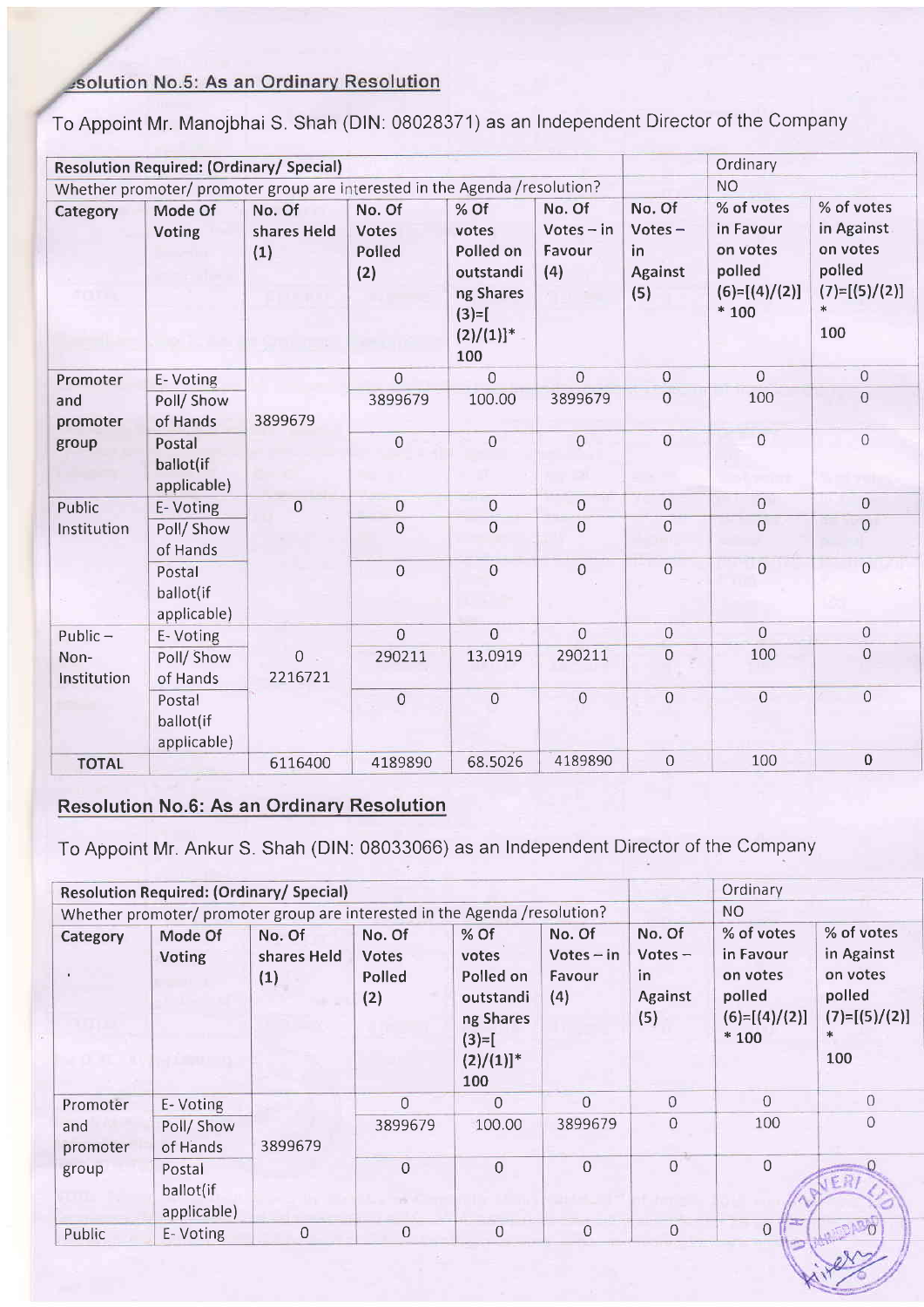## solution No.5: As an Ordinary Resolution

To Appoint Mr. Manojbhai S. Shah (DlN: 08028371) as an Independent Director of the Company

|                     |                                    | <b>Resolution Required: (Ordinary/ Special)</b>                            |                                                |                                                                                                    |                                         |                                             | Ordinary                                                                   |                                                                                    |
|---------------------|------------------------------------|----------------------------------------------------------------------------|------------------------------------------------|----------------------------------------------------------------------------------------------------|-----------------------------------------|---------------------------------------------|----------------------------------------------------------------------------|------------------------------------------------------------------------------------|
|                     |                                    | Whether promoter/ promoter group are interested in the Agenda /resolution? |                                                |                                                                                                    |                                         |                                             | <b>NO</b>                                                                  |                                                                                    |
| Category            | Mode Of<br>Voting                  | No. Of<br>shares Held<br>(1)                                               | No. Of<br><b>Votes</b><br><b>Polled</b><br>(2) | % Of<br>votes<br>Polled on<br>outstandi<br>ng Shares<br>$(3)=$ [<br>$(2)/(1)]$ <sup>*</sup><br>100 | No. Of<br>$Votes - in$<br>Favour<br>(4) | No. Of<br>$Votes -$<br>in<br>Against<br>(5) | % of votes<br>in Favour<br>on votes<br>polled<br>$(6)=[(4)/(2)]$<br>$*100$ | % of votes<br>in Against<br>on votes<br>polled<br>$(7)=[(5)/(2)]$<br>$\ast$<br>100 |
| Promoter            | E-Voting                           |                                                                            | $\overline{0}$                                 | $\overline{O}$                                                                                     | $\Omega$                                | $\Omega$                                    | $\Omega$                                                                   | $\overline{0}$                                                                     |
| and<br>promoter     | Poll/Show<br>of Hands              | 3899679                                                                    | 3899679                                        | 100.00                                                                                             | 3899679                                 | $\overline{0}$                              | 100                                                                        | $\Omega$                                                                           |
| group               | Postal<br>ballot(if<br>applicable) |                                                                            | $\theta$                                       | $\overline{0}$                                                                                     | $\overline{0}$<br>×                     | $\overline{O}$                              | $\overline{0}$                                                             | $\overline{0}$                                                                     |
| Public              | E-Voting                           | $\overline{0}$                                                             | $\overline{0}$                                 | $\mathbf 0$                                                                                        | $\overline{0}$                          | $\mathbf 0$                                 | $\mathbf 0$                                                                | $\mathbf 0$                                                                        |
| Institution         | Poll/ Show<br>of Hands             |                                                                            | $\overline{0}$                                 | $\mathbf 0$                                                                                        | 0                                       | $\overline{0}$                              | $\overline{0}$                                                             | $\overline{O}$                                                                     |
|                     | Postal<br>ballot(if<br>applicable) |                                                                            | $\overline{0}$                                 | $\overline{0}$                                                                                     | $\mathbf 0$                             | $\overline{0}$                              | $\overline{0}$                                                             | $\overline{0}$                                                                     |
| Public $-$          | E-Voting                           |                                                                            | $\overline{O}$                                 | $\overline{0}$                                                                                     | $\overline{O}$                          | $\overline{O}$                              | $\Omega$                                                                   | $\overline{0}$                                                                     |
| Non-<br>Institution | Poll/Show<br>of Hands              | $\mathbf{0}$<br>2216721                                                    | 290211                                         | 13.0919                                                                                            | 290211                                  | $\mathbf 0$                                 | 100                                                                        | $\Omega$                                                                           |
|                     | Postal<br>ballot(if<br>applicable) |                                                                            | $\mathbf 0$                                    | $\overline{0}$                                                                                     | $\overline{0}$                          | $\overline{O}$                              | $\overline{0}$                                                             | $\Omega$                                                                           |
| <b>TOTAL</b>        |                                    | 6116400                                                                    | 4189890                                        | 68.5026                                                                                            | 4189890                                 | $\Omega$                                    | 100                                                                        | $\mathbf 0$                                                                        |

### Resolution No.6: As an Ordinarv Resolution

To Appoint Mr. Ankur S. Shah (DlN: 08033066) as an Independent Director of the Company

|                 |                                    | <b>Resolution Required: (Ordinary/ Special)</b>                             |                                         |                                                                                         |                                         |                                                     | Ordinary<br>NO <sub>1</sub>                                                |                                                                               |
|-----------------|------------------------------------|-----------------------------------------------------------------------------|-----------------------------------------|-----------------------------------------------------------------------------------------|-----------------------------------------|-----------------------------------------------------|----------------------------------------------------------------------------|-------------------------------------------------------------------------------|
|                 |                                    | Whether promoter/ promoter group are interested in the Agenda / resolution? |                                         |                                                                                         |                                         |                                                     |                                                                            |                                                                               |
| Category        | Mode Of<br><b>Voting</b>           | No. Of<br>shares Held<br>(1)                                                | No. Of<br><b>Votes</b><br>Polled<br>(2) | % Of<br>votes<br>Polled on<br>outstandi<br>ng Shares<br>$(3)=$ [<br>$(2)/(1)]$ *<br>100 | No. Of<br>$Votes - in$<br>Favour<br>(4) | No. Of<br>$Votes -$<br>in.<br><b>Against</b><br>(5) | % of votes<br>in Favour<br>on votes<br>polled<br>$(6)=[(4)/(2)]$<br>$*100$ | % of votes<br>in Against<br>on votes<br>polled<br>$(7)=[(5)/(2)]$<br>*<br>100 |
| Promoter        | E-Voting                           |                                                                             | $\overline{0}$                          | $\Omega$                                                                                | 0                                       | $\Omega$                                            | $\Omega$                                                                   | $\Omega$                                                                      |
| and<br>promoter | Poll/ Show<br>of Hands             | 3899679                                                                     | 3899679                                 | 100.00                                                                                  | 3899679                                 | $\overline{0}$                                      | 100                                                                        | $\Omega$                                                                      |
| group           | Postal<br>ballot(if<br>applicable) |                                                                             | $\overline{O}$                          | $\mathbf 0$                                                                             | $\Omega$                                | $\overline{O}$                                      | $\Omega$                                                                   | 千尺                                                                            |
| Public          | E-Voting                           | $\Omega$                                                                    | $\theta$                                | $\mathbf 0$                                                                             | $\mathbf 0$                             | $\theta$                                            | $-8$<br>$\overline{0}$                                                     |                                                                               |